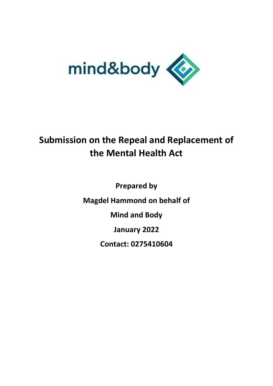

# **Submission on the Repeal and Replacement of the Mental Health Act**

**Prepared by Magdel Hammond on behalf of Mind and Body January 2022 Contact: 0275410604**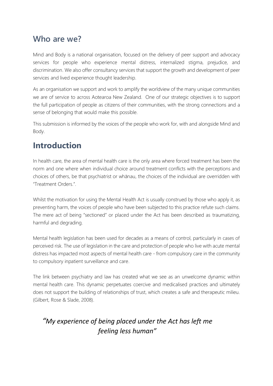#### **Who are we?**

Mind and Body is a national organisation, focused on the delivery of peer support and advocacy services for people who experience mental distress, internalized stigma, prejudice, and discrimination. We also offer consultancy services that support the growth and development of peer services and lived experience thought leadership.

As an organisation we support and work to amplify the worldview of the many unique communities we are of service to across Aotearoa New Zealand. One of our strategic objectives is to support the full participation of people as citizens of their communities, with the strong connections and a sense of belonging that would make this possible.

This submission is informed by the voices of the people who work for, with and alongside Mind and Body.

## **Introduction**

In health care, the area of mental health care is the only area where forced treatment has been the norm and one where when individual choice around treatment conflicts with the perceptions and choices of others, be that psychiatrist or whānau, the choices of the individual are overridden with "Treatment Orders.".

Whilst the motivation for using the Mental Health Act is usually construed by those who apply it, as preventing harm, the voices of people who have been subjected to this practice refute such claims. The mere act of being "sectioned" or placed under the Act has been described as traumatizing, harmful and degrading.

Mental health legislation has been used for decades as a means of control, particularly in cases of perceived risk. The use of legislation in the care and protection of people who live with acute mental distress has impacted most aspects of mental health care - from compulsory care in the community to compulsory inpatient surveillance and care.

The link between psychiatry and law has created what we see as an unwelcome dynamic within mental health care. This dynamic perpetuates coercive and medicalised practices and ultimately does not support the building of relationships of trust, which creates a safe and therapeutic milieu. (Gilbert, Rose & Slade, 2008).

#### *"My experience of being placed under the Act has left me feeling less human"*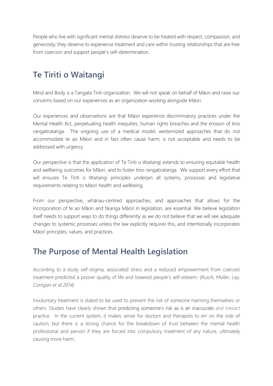People who live with significant mental distress deserve to be treated with respect, compassion, and generosity; they deserve to experience treatment and care within trusting relationships that are free from coercion and support people's self-determination.

## **Te Tiriti o Waitangi**

Mind and Body is a Tangata Tiriti organization. We will not speak on behalf of Māori and raise our concerns based on our experiences as an organization working alongside Māori.

Our experiences and observations are that Māori experience discriminatory practices under the Mental Health Act, perpetuating health inequities, human rights breaches and the erosion of tino rangatiratanga. The ongoing use of a medical model, westernized approaches that do not accommodate te ao Māori and in fact often cause harm, is not acceptable and needs to be addressed with urgency.

Our perspective is that the application of Te Tiriti o Waitangi extends to ensuring equitable health and wellbeing outcomes for Māori, and to foster tino rangatiratanga. We support every effort that will ensures Te Tiriti o Waitangi principles underpin all systems, processes and legislative requirements relating to Māori health and wellbeing.

From our perspective, whānau-centred approaches, and approaches that allows for the incorporation of te ao Māori and tikanga Māori in legislation, are essential. We believe legislation itself needs to support ways to do things differently as we do not believe that we will see adequate changes to systemic processes unless the law explicitly requires this, and intentionally incorporates Māori principles, values, and practices.

### **The Purpose of Mental Health Legislation**

According to a study self-stigma, associated stress and a reduced empowerment from coerced treatment predicted a poorer quality of life and lowered people's self-esteem. (*Rusch, Muller, Lay, Corrigan et al 2014)*

Involuntary treatment is stated to be used to prevent the risk of someone harming themselves or others. Studies have clearly shown that [predicting someone's risk](https://themighty.com/2018/09/suicidal-getting-help/) as is an inaccurate and inexact practice. In the current system, it makes sense for doctors and therapists to err on the side of caution, but there is a strong chance for the breakdown of trust between the mental health professional and person if they are forced into compulsory treatment of any nature, ultimately causing more harm.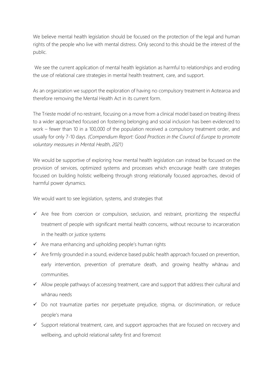We believe mental health legislation should be focused on the protection of the legal and human rights of the people who live with mental distress. Only second to this should be the interest of the public.

We see the current application of mental health legislation as harmful to relationships and eroding the use of relational care strategies in mental health treatment, care, and support.

As an organization we support the exploration of having no compulsory treatment in Aotearoa and therefore removing the Mental Health Act in its current form.

The Trieste model of no restraint, focusing on a move from a clinical model based on treating illness to a wider approached focused on fostering belonging and social inclusion has been evidenced to work – fewer than 10 in a 100,000 of the population received a compulsory treatment order, and usually for only 7-10 days*. (Compendium Report: Good Practices in the Council of Europe to promote voluntary measures in Mental Health, 2021)*

We would be supportive of exploring how mental health legislation can instead be focused on the provision of services, optimized systems and processes which encourage health care strategies focused on building holistic wellbeing through strong relationally focused approaches, devoid of harmful power dynamics.

We would want to see legislation, systems, and strategies that

- ✓ Are free from coercion or compulsion, seclusion, and restraint, prioritizing the respectful treatment of people with significant mental health concerns, without recourse to incarceration in the health or justice systems
- $\checkmark$  Are mana enhancing and upholding people's human rights
- ✓ Are firmly grounded in a sound, evidence based public health approach focused on prevention, early intervention, prevention of premature death, and growing healthy whānau and communities.
- ✓ Allow people pathways of accessing treatment, care and support that address their cultural and whānau needs
- ✓ Do not traumatize parties nor perpetuate prejudice, stigma, or discrimination, or reduce people's mana
- ✓ Support relational treatment, care, and support approaches that are focused on recovery and wellbeing, and uphold relational safety first and foremost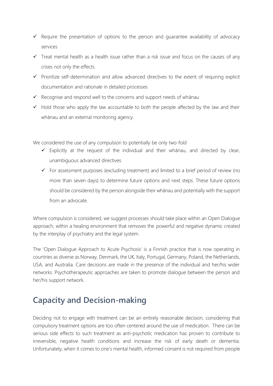- $\checkmark$  Require the presentation of options to the person and quarantee availability of advocacy services
- ✓ Treat mental health as a health issue rather than a risk issue and focus on the causes of any crises not only the effects.
- ✓ Prioritize self-determination and allow advanced directives to the extent of requiring explicit documentation and rationale in detailed processes
- ✓ Recognise and respond well to the concerns and support needs of whānau
- $\checkmark$  Hold those who apply the law accountable to both the people affected by the law and their whānau and an external monitoring agency.

We considered the use of any compulsion to potentially be only two-fold

- $\checkmark$  Explicitly at the request of the individual and their whānau, and directed by clear, unambiguous advanced directives
- ✓ For assessment purposes (excluding treatment) and limited to a brief period of review (no more than seven days) to determine future options and next steps. These future options should be considered by the person alongside their whānau and potentially with the support from an advocate.

Where compulsion is considered, we suggest processes should take place within an Open Dialogue approach, within a healing environment that removes the powerful and negative dynamic created by the interplay of psychiatry and the legal system.

The 'Open Dialogue Approach to Acute Psychosis' is a Finnish practice that is now operating in countries as diverse as Norway, Denmark, the UK, Italy, Portugal, Germany, Poland, the Netherlands, USA, and Australia. Care decisions are made in the presence of the individual and her/his wider networks. Psychotherapeutic approaches are taken to promote dialogue between the person and her/his support network.

#### **Capacity and Decision-making**

Deciding not to engage with treatment can be an entirely reasonable decision, considering that compulsory treatment options are too often centered around the use of medication. There can be serious side effects to such treatment as anti-psychotic medication has proven to contribute to irreversible, negative health conditions and increase the risk of early death or dementia. Unfortunately, when it comes to one's mental health, informed consent is not required from people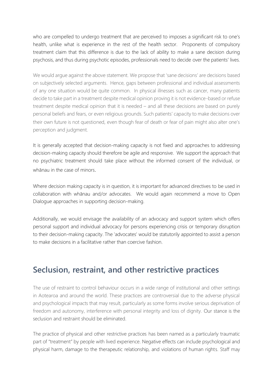who are compelled to undergo treatment that are perceived to imposes a significant risk to one's health, unlike what is experience in the rest of the health sector. Proponents of compulsory treatment claim that this difference is due to the lack of ability to make a sane decision during psychosis, and thus during psychotic episodes, professionals need to decide over the patients' lives.

We would argue against the above statement. We propose that 'sane decisions' are decisions based on subjectively selected arguments. Hence, gaps between professional and individual assessments of any one situation would be quite common. In physical illnesses such as cancer, many patients decide to take part in a treatment despite medical opinion proving it is not evidence-based or refuse treatment despite medical opinion that it is needed – and all these decisions are based on purely personal beliefs and fears, or even religious grounds. Such patients' capacity to make decisions over their own future is not questioned, even though fear of death or fear of pain might also alter one's perception and judgment.

It is generally accepted that decision-making capacity is not fixed and approaches to addressing decision-making capacity should therefore be agile and responsive. We support the approach that no psychiatric treatment should take place without the informed consent of the individual, or whānau in the case of minors.

Where decision making capacity is in question, it is important for advanced directives to be used in collaboration with whānau and/or advocates. We would again recommend a move to Open Dialogue approaches in supporting decision-making.

Additionally, we would envisage the availability of an advocacy and support system which offers personal support and individual advocacy for persons experiencing crisis or temporary disruption to their decision-making capacity. The 'advocates' would be statutorily appointed to assist a person to make decisions in a facilitative rather than coercive fashion.

### **Seclusion, restraint, and other restrictive practices**

The use of restraint to control behaviour occurs in a wide range of institutional and other settings in Aotearoa and around the world. These practices are controversial due to the adverse physical and psychological impacts that may result, particularly as some forms involve serious deprivation of freedom and autonomy, interference with personal integrity and loss of dignity. Our stance is the seclusion and restraint should be eliminated.

The practice of physical and other restrictive practices has been named as a particularly traumatic part of "treatment" by people with lived experience. Negative effects can include psychological and physical harm, damage to the therapeutic relationship, and violations of human rights. Staff may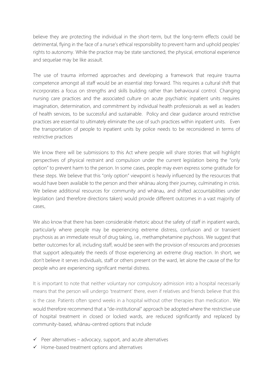believe they are protecting the individual in the short-term, but the long-term effects could be detrimental, flying in the face of a nurse's ethical responsibility to prevent harm and uphold peoples' rights to autonomy. While the practice may be state sanctioned, the physical, emotional experience and sequelae may be like assault.

The use of trauma informed approaches and developing a framework that require trauma competence amongst all staff would be an essential step forward. This requires a cultural shift that incorporates a focus on strengths and skills building rather than behavioural control. Changing nursing care practices and the associated culture on acute psychiatric inpatient units requires imagination, determination, and commitment by individual health professionals as well as leaders of health services, to be successful and sustainable. Policy and clear guidance around restrictive practices are essential to ultimately eliminate the use of such practices within inpatient units. Even the transportation of people to inpatient units by police needs to be reconsidered in terms of restrictive practices

We know there will be submissions to this Act where people will share stories that will highlight perspectives of physical restraint and compulsion under the current legislation being the "only option" to prevent harm to the person. In some cases, people may even express some gratitude for these steps. We believe that this "only option" viewpoint is heavily influenced by the resources that would have been available to the person and their whānau along their journey, culminating in crisis. We believe additional resources for community and whānau, and shifted accountabilities under legislation (and therefore directions taken) would provide different outcomes in a vast majority of cases.

We also know that there has been considerable rhetoric about the safety of staff in inpatient wards, particularly where people may be experiencing extreme distress, confusion and or transient psychosis as an immediate result of drug taking, i.e., methamphetamine psychosis. We suggest that better outcomes for all, including staff, would be seen with the provision of resources and processes that support adequately the needs of those experiencing an extreme drug reaction. In short, we don't believe it serves individuals, staff or others present on the ward, let alone the cause of the for people who are experiencing significant mental distress.

It is important to note that neither voluntary nor compulsory admission into a hospital necessarily means that the person will undergo 'treatment' there, even if relatives and friends believe that this is the case. Patients often spend weeks in a hospital without other therapies than medication. We would therefore recommend that a "de-institutional" approach be adopted where the restrictive use of hospital treatment in closed or locked wards, are reduced significantly and replaced by community-based, whānau-centred options that include

- $\checkmark$  Peer alternatives advocacy, support, and acute alternatives
- ✓ Home-based treatment options and alternatives